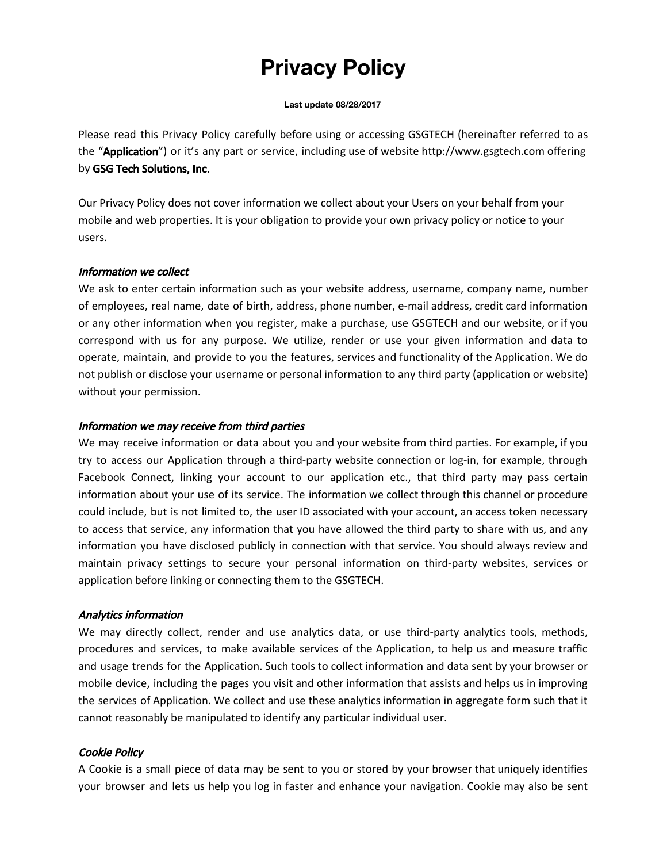# **Privacy Policy**

#### **Last update 08/28/2017**

Please read this Privacy Policy carefully before using or accessing GSGTECH (hereinafter referred to as the "Application") or it's any part or service, including use of website [http://www.gsgtech.com](http://gsgtech.io/) offering by GSG Tech Solutions, Inc.

Our Privacy Policy does not cover information we collect about your Users on your behalf from your mobile and web properties. It is your obligation to provide your own privacy policy or notice to your users.

## Information we collect

We ask to enter certain information such as your website address, username, company name, number of employees, real name, date of birth, address, phone number, e-mail address, credit card information or any other information when you register, make a purchase, use GSGTECH and our website, or if you correspond with us for any purpose. We utilize, render or use your given information and data to operate, maintain, and provide to you the features, services and functionality of the Application. We do not publish or disclose your username or personal information to any third party (application or website) without your permission.

## Information we may receive from third parties

We may receive information or data about you and your website from third parties. For example, if you try to access our Application through a third-party website connection or log-in, for example, through Facebook Connect, linking your account to our application etc., that third party may pass certain information about your use of its service. The information we collect through this channel or procedure could include, but is not limited to, the user ID associated with your account, an access token necessary to access that service, any information that you have allowed the third party to share with us, and any information you have disclosed publicly in connection with that service. You should always review and maintain privacy settings to secure your personal information on third-party websites, services or application before linking or connecting them to the GSGTECH.

## Analytics information

We may directly collect, render and use analytics data, or use third-party analytics tools, methods, procedures and services, to make available services of the Application, to help us and measure traffic and usage trends for the Application. Such tools to collect information and data sent by your browser or mobile device, including the pages you visit and other information that assists and helps us in improving the services of Application. We collect and use these analytics information in aggregate form such that it cannot reasonably be manipulated to identify any particular individual user.

## Cookie Policy

A Cookie is a small piece of data may be sent to you or stored by your browser that uniquely identifies your browser and lets us help you log in faster and enhance your navigation. Cookie may also be sent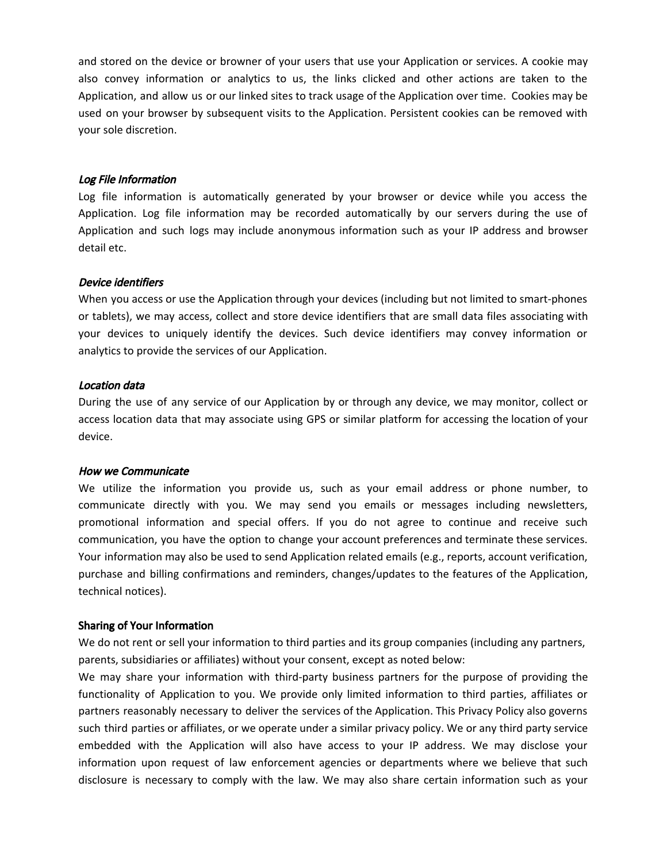and stored on the device or browner of your users that use your Application or services. A cookie may also convey information or analytics to us, the links clicked and other actions are taken to the Application, and allow us or our linked sites to track usage of the Application over time. Cookies may be used on your browser by subsequent visits to the Application. Persistent cookies can be removed with your sole discretion.

#### Log File Information

Log file information is automatically generated by your browser or device while you access the Application. Log file information may be recorded automatically by our servers during the use of Application and such logs may include anonymous information such as your IP address and browser detail etc.

#### Device identifiers

When you access or use the Application through your devices (including but not limited to smart-phones or tablets), we may access, collect and store device identifiers that are small data files associating with your devices to uniquely identify the devices. Such device identifiers may convey information or analytics to provide the services of our Application.

#### Location data

During the use of any service of our Application by or through any device, we may monitor, collect or access location data that may associate using GPS or similar platform for accessing the location of your device.

#### How we Communicate

We utilize the information you provide us, such as your email address or phone number, to communicate directly with you. We may send you emails or messages including newsletters, promotional information and special offers. If you do not agree to continue and receive such communication, you have the option to change your account preferences and terminate these services. Your information may also be used to send Application related emails (e.g., reports, account verification, purchase and billing confirmations and reminders, changes/updates to the features of the Application, technical notices).

#### Sharing of Your Information

We do not rent or sell your information to third parties and its group companies (including any partners, parents, subsidiaries or affiliates) without your consent, except as noted below:

We may share your information with third-party business partners for the purpose of providing the functionality of Application to you. We provide only limited information to third parties, affiliates or partners reasonably necessary to deliver the services of the Application. This Privacy Policy also governs such third parties or affiliates, or we operate under a similar privacy policy. We or any third party service embedded with the Application will also have access to your IP address. We may disclose your information upon request of law enforcement agencies or departments where we believe that such disclosure is necessary to comply with the law. We may also share certain information such as your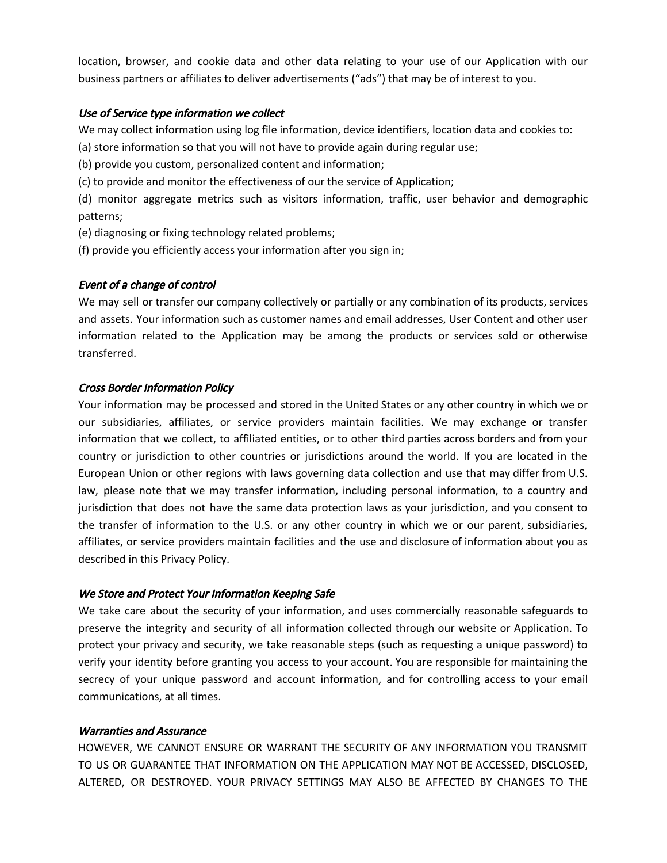location, browser, and cookie data and other data relating to your use of our Application with our business partners or affiliates to deliver advertisements ("ads") that may be of interest to you.

## Use of Service type information we collect

We may collect information using log file information, device identifiers, location data and cookies to:

(a) store information so that you will not have to provide again during regular use;

(b) provide you custom, personalized content and information;

(c) to provide and monitor the effectiveness of our the service of Application;

(d) monitor aggregate metrics such as visitors information, traffic, user behavior and demographic patterns;

(e) diagnosing or fixing technology related problems;

(f) provide you efficiently access your information after you sign in;

# Event of a change of control

We may sell or transfer our company collectively or partially or any combination of its products, services and assets. Your information such as customer names and email addresses, User Content and other user information related to the Application may be among the products or services sold or otherwise transferred.

# Cross Border Information Policy

Your information may be processed and stored in the United States or any other country in which we or our subsidiaries, affiliates, or service providers maintain facilities. We may exchange or transfer information that we collect, to affiliated entities, or to other third parties across borders and from your country or jurisdiction to other countries or jurisdictions around the world. If you are located in the European Union or other regions with laws governing data collection and use that may differ from U.S. law, please note that we may transfer information, including personal information, to a country and jurisdiction that does not have the same data protection laws as your jurisdiction, and you consent to the transfer of information to the U.S. or any other country in which we or our parent, subsidiaries, affiliates, or service providers maintain facilities and the use and disclosure of information about you as described in this Privacy Policy.

## We Store and Protect Your Information Keeping Safe

We take care about the security of your information, and uses commercially reasonable safeguards to preserve the integrity and security of all information collected through our website or Application. To protect your privacy and security, we take reasonable steps (such as requesting a unique password) to verify your identity before granting you access to your account. You are responsible for maintaining the secrecy of your unique password and account information, and for controlling access to your email communications, at all times.

## Warranties and Assurance

HOWEVER, WE CANNOT ENSURE OR WARRANT THE SECURITY OF ANY INFORMATION YOU TRANSMIT TO US OR GUARANTEE THAT INFORMATION ON THE APPLICATION MAY NOT BE ACCESSED, DISCLOSED, ALTERED, OR DESTROYED. YOUR PRIVACY SETTINGS MAY ALSO BE AFFECTED BY CHANGES TO THE